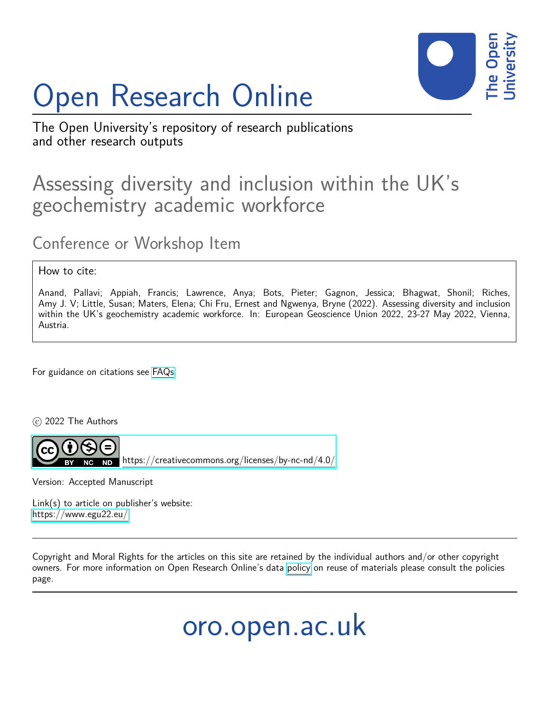# Open Research Online



The Open University's repository of research publications and other research outputs

## Assessing diversity and inclusion within the UK's geochemistry academic workforce

## Conference or Workshop Item

#### How to cite:

Anand, Pallavi; Appiah, Francis; Lawrence, Anya; Bots, Pieter; Gagnon, Jessica; Bhagwat, Shonil; Riches, Amy J. V; Little, Susan; Maters, Elena; Chi Fru, Ernest and Ngwenya, Bryne (2022). Assessing diversity and inclusion within the UK's geochemistry academic workforce. In: European Geoscience Union 2022, 23-27 May 2022, Vienna, Austria.

For guidance on citations see [FAQs.](http://oro.open.ac.uk/help/helpfaq.html)

 $\circ$  2022 The Authors

<https://creativecommons.org/licenses/by-nc-nd/4.0/>

Version: Accepted Manuscript

Link(s) to article on publisher's website: <https://www.egu22.eu/>

Copyright and Moral Rights for the articles on this site are retained by the individual authors and/or other copyright owners. For more information on Open Research Online's data [policy](http://oro.open.ac.uk/policies.html) on reuse of materials please consult the policies page.

oro.open.ac.uk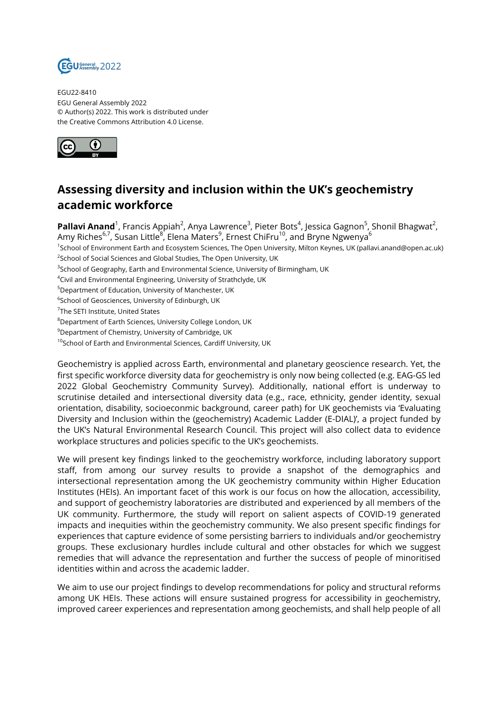

EGU22-8410 EGU General Assembly 2022 © Author(s) 2022. This work is distributed under the Creative Commons Attribution 4.0 License.



### **Assessing diversity and inclusion within the UK's geochemistry academic workforce**

**Pallavi Anand**<sup>1</sup>, Francis Appiah<sup>2</sup>, Anya Lawrence<sup>3</sup>, Pieter Bots<sup>4</sup>, Jessica Gagnon<sup>5</sup>, Shonil Bhagwat<sup>2</sup>, Amy Riches<sup>6,7</sup>, Susan Little<sup>8</sup>, Elena Maters<sup>9</sup>, Ernest ChiFru<sup>10</sup>, and Bryne Ngwenya<sup>6</sup>

1 School of Environment Earth and Ecosystem Sciences, The Open University, Milton Keynes, UK (pallavi.anand@open.ac.uk)  $^{2}$ School of Social Sciences and Global Studies, The Open University, UK

- $^3$ School of Geography, Earth and Environmental Science, University of Birmingham, UK
- <sup>4</sup>Civil and Environmental Engineering, University of Strathclyde, UK
- <sup>5</sup>Department of Education, University of Manchester, UK
- $^6$ School of Geosciences, University of Edinburgh, UK
- <sup>7</sup>The SETI Institute, United States
- <sup>8</sup>Department of Earth Sciences, University College London, UK
- <sup>9</sup>Department of Chemistry, University of Cambridge, UK
- $10$ School of Earth and Environmental Sciences, Cardiff University, UK

Geochemistry is applied across Earth, environmental and planetary geoscience research. Yet, the first specific workforce diversity data for geochemistry is only now being collected (e.g. EAG-GS led 2022 Global Geochemistry Community Survey). Additionally, national effort is underway to scrutinise detailed and intersectional diversity data (e.g., race, ethnicity, gender identity, sexual orientation, disability, socioeconmic background, career path) for UK geochemists via 'Evaluating Diversity and Inclusion within the (geochemistry) Academic Ladder (E-DIAL)', a project funded by the UK's Natural Environmental Research Council. This project will also collect data to evidence workplace structures and policies specific to the UK's geochemists.

We will present key findings linked to the geochemistry workforce, including laboratory support staff, from among our survey results to provide a snapshot of the demographics and intersectional representation among the UK geochemistry community within Higher Education Institutes (HEIs). An important facet of this work is our focus on how the allocation, accessibility, and support of geochemistry laboratories are distributed and experienced by all members of the UK community. Furthermore, the study will report on salient aspects of COVID-19 generated impacts and inequities within the geochemistry community. We also present specific findings for experiences that capture evidence of some persisting barriers to individuals and/or geochemistry groups. These exclusionary hurdles include cultural and other obstacles for which we suggest remedies that will advance the representation and further the success of people of minoritised identities within and across the academic ladder.

We aim to use our project findings to develop recommendations for policy and structural reforms among UK HEIs. These actions will ensure sustained progress for accessibility in geochemistry, improved career experiences and representation among geochemists, and shall help people of all